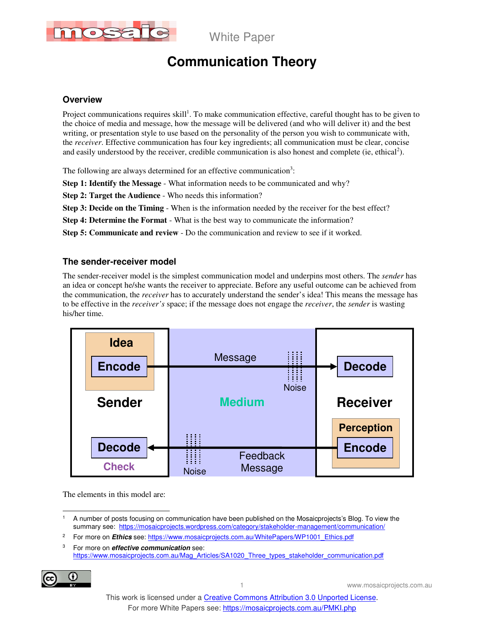

# **Communication Theory**

### **Overview**

Project communications requires skill<sup>1</sup>. To make communication effective, careful thought has to be given to the choice of media and message, how the message will be delivered (and who will deliver it) and the best writing, or presentation style to use based on the personality of the person you wish to communicate with, the *receiver*. Effective communication has four key ingredients; all communication must be clear, concise and easily understood by the receiver, credible communication is also honest and complete (ie, ethical<sup>2</sup>).

The following are always determined for an effective communication<sup>3</sup>:

**Step 1: Identify the Message** - What information needs to be communicated and why?

**Step 2: Target the Audience** - Who needs this information?

**Step 3: Decide on the Timing** - When is the information needed by the receiver for the best effect?

**Step 4: Determine the Format** - What is the best way to communicate the information?

**Step 5: Communicate and review** - Do the communication and review to see if it worked.

#### **The sender-receiver model**

The sender-receiver model is the simplest communication model and underpins most others. The *sender* has an idea or concept he/she wants the receiver to appreciate. Before any useful outcome can be achieved from the communication, the *receiver* has to accurately understand the sender's idea! This means the message has to be effective in the *receiver's* space; if the message does not engage the *receiver*, the *sender* is wasting his/her time.



The elements in this model are:

<sup>3</sup> For more on **effective communication** see: https://www.mosaicprojects.com.au/Mag\_Articles/SA1020\_Three\_types\_stakeholder\_communication.pdf



 $\ddot{\phantom{a}}$ 1 A number of posts focusing on communication have been published on the Mosaicprojects's Blog. To view the summary see: https://mosaicprojects.wordpress.com/category/stakeholder-management/communication/

<sup>2</sup> For more on **Ethics** see: https://www.mosaicprojects.com.au/WhitePapers/WP1001\_Ethics.pdf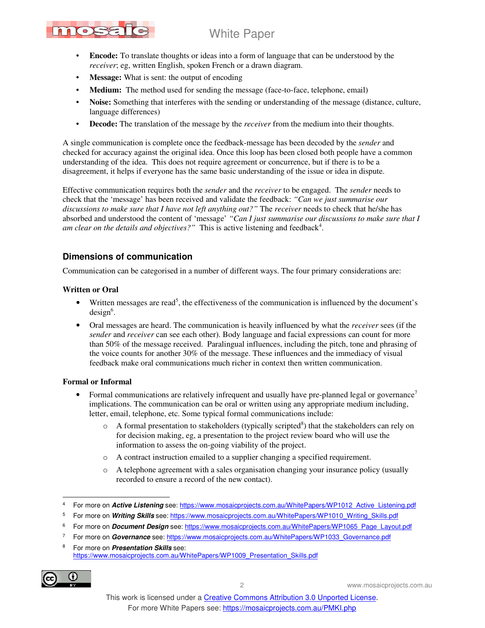# mosatc

# White Paper

- **Encode:** To translate thoughts or ideas into a form of language that can be understood by the *receiver*; eg, written English, spoken French or a drawn diagram.
- **Message:** What is sent: the output of encoding
- **Medium:** The method used for sending the message (face-to-face, telephone, email)
- **Noise:** Something that interferes with the sending or understanding of the message (distance, culture, language differences)
- **Decode:** The translation of the message by the *receiver* from the medium into their thoughts.

A single communication is complete once the feedback-message has been decoded by the *sender* and checked for accuracy against the original idea. Once this loop has been closed both people have a common understanding of the idea. This does not require agreement or concurrence, but if there is to be a disagreement, it helps if everyone has the same basic understanding of the issue or idea in dispute.

Effective communication requires both the *sender* and the *receiver* to be engaged. The *sender* needs to check that the 'message' has been received and validate the feedback: *"Can we just summarise our discussions to make sure that I have not left anything out?"* The *receiver* needs to check that he/she has absorbed and understood the content of 'message' *"Can I just summarise our discussions to make sure that I*  am clear on the details and objectives?" This is active listening and feedback<sup>4</sup>.

## **Dimensions of communication**

Communication can be categorised in a number of different ways. The four primary considerations are:

#### **Written or Oral**

- Written messages are read<sup>5</sup>, the effectiveness of the communication is influenced by the document's  $design<sup>6</sup>$ .
- Oral messages are heard. The communication is heavily influenced by what the *receiver* sees (if the *sender* and *receiver* can see each other). Body language and facial expressions can count for more than 50% of the message received. Paralingual influences, including the pitch, tone and phrasing of the voice counts for another 30% of the message. These influences and the immediacy of visual feedback make oral communications much richer in context then written communication.

#### **Formal or Informal**

- Formal communications are relatively infrequent and usually have pre-planned legal or governance<sup>7</sup> implications. The communication can be oral or written using any appropriate medium including, letter, email, telephone, etc. Some typical formal communications include:
	- $\circ$  A formal presentation to stakeholders (typically scripted<sup>8</sup>) that the stakeholders can rely on for decision making, eg, a presentation to the project review board who will use the information to assess the on-going viability of the project.
	- o A contract instruction emailed to a supplier changing a specified requirement.
	- o A telephone agreement with a sales organisation changing your insurance policy (usually recorded to ensure a record of the new contact).

<sup>6</sup> For more on *Document Design* see: https://www.mosaicprojects.com.au/WhitePapers/WP1065\_Page\_Layout.pdf

<sup>8</sup> For more on **Presentation Skills** see: https://www.mosaicprojects.com.au/WhitePapers/WP1009\_Presentation\_Skills.pdf



 $\ddot{\phantom{a}}$ 4 For more on **Active Listening** see: https://www.mosaicprojects.com.au/WhitePapers/WP1012\_Active\_Listening.pdf

<sup>&</sup>lt;sup>5</sup> For more on Writing Skills see: https://www.mosaicprojects.com.au/WhitePapers/WP1010\_Writing\_Skills.pdf

<sup>7</sup> For more on **Governance** see: https://www.mosaicprojects.com.au/WhitePapers/WP1033\_Governance.pdf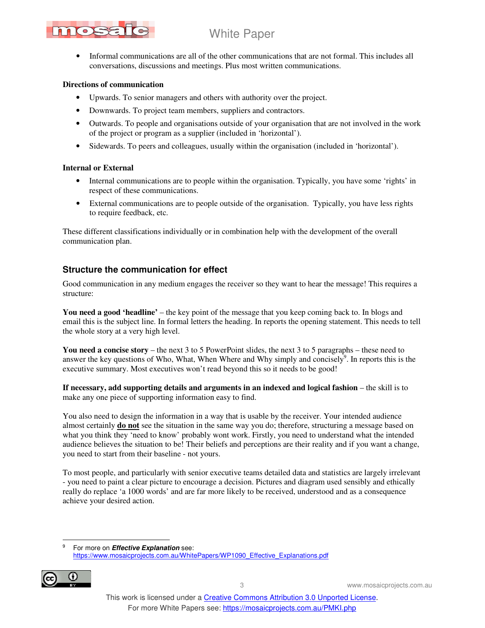# nos

# White Paper

• Informal communications are all of the other communications that are not formal. This includes all conversations, discussions and meetings. Plus most written communications.

#### **Directions of communication**

- Upwards. To senior managers and others with authority over the project.
- Downwards. To project team members, suppliers and contractors.
- Outwards. To people and organisations outside of your organisation that are not involved in the work of the project or program as a supplier (included in 'horizontal').
- Sidewards. To peers and colleagues, usually within the organisation (included in 'horizontal').

#### **Internal or External**

- Internal communications are to people within the organisation. Typically, you have some 'rights' in respect of these communications.
- External communications are to people outside of the organisation. Typically, you have less rights to require feedback, etc.

These different classifications individually or in combination help with the development of the overall communication plan.

## **Structure the communication for effect**

Good communication in any medium engages the receiver so they want to hear the message! This requires a structure:

**You need a good 'headline'** – the key point of the message that you keep coming back to. In blogs and email this is the subject line. In formal letters the heading. In reports the opening statement. This needs to tell the whole story at a very high level.

**You need a concise story** – the next 3 to 5 PowerPoint slides, the next 3 to 5 paragraphs – these need to answer the key questions of Who, What, When Where and Why simply and concisely<sup>9</sup>. In reports this is the executive summary. Most executives won't read beyond this so it needs to be good!

**If necessary, add supporting details and arguments in an indexed and logical fashion** – the skill is to make any one piece of supporting information easy to find.

You also need to design the information in a way that is usable by the receiver. Your intended audience almost certainly **do not** see the situation in the same way you do; therefore, structuring a message based on what you think they 'need to know' probably wont work. Firstly, you need to understand what the intended audience believes the situation to be! Their beliefs and perceptions are their reality and if you want a change, you need to start from their baseline - not yours.

To most people, and particularly with senior executive teams detailed data and statistics are largely irrelevant - you need to paint a clear picture to encourage a decision. Pictures and diagram used sensibly and ethically really do replace 'a 1000 words' and are far more likely to be received, understood and as a consequence achieve your desired action.

-<br>9 For more on **Effective Explanation** see: https://www.mosaicprojects.com.au/WhitePapers/WP1090\_Effective\_Explanations.pdf

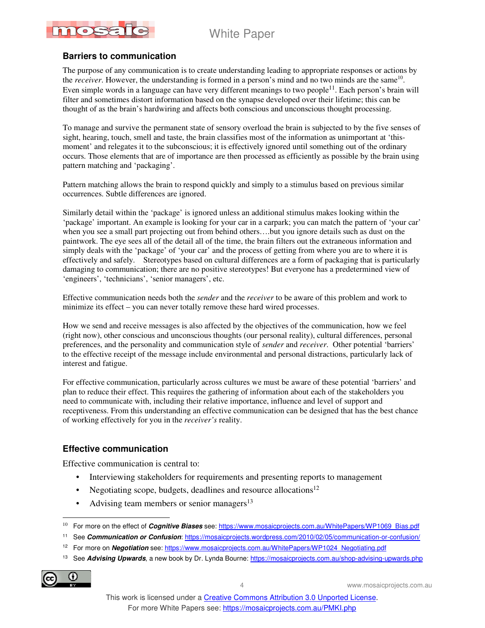

#### **Barriers to communication**

The purpose of any communication is to create understanding leading to appropriate responses or actions by the *receiver*. However, the understanding is formed in a person's mind and no two minds are the same<sup>10</sup>. Even simple words in a language can have very different meanings to two people $^{11}$ . Each person's brain will filter and sometimes distort information based on the synapse developed over their lifetime; this can be thought of as the brain's hardwiring and affects both conscious and unconscious thought processing.

To manage and survive the permanent state of sensory overload the brain is subjected to by the five senses of sight, hearing, touch, smell and taste, the brain classifies most of the information as unimportant at 'thismoment' and relegates it to the subconscious; it is effectively ignored until something out of the ordinary occurs. Those elements that are of importance are then processed as efficiently as possible by the brain using pattern matching and 'packaging'.

Pattern matching allows the brain to respond quickly and simply to a stimulus based on previous similar occurrences. Subtle differences are ignored.

Similarly detail within the 'package' is ignored unless an additional stimulus makes looking within the 'package' important. An example is looking for your car in a carpark; you can match the pattern of 'your car' when you see a small part projecting out from behind others….but you ignore details such as dust on the paintwork. The eye sees all of the detail all of the time, the brain filters out the extraneous information and simply deals with the 'package' of 'your car' and the process of getting from where you are to where it is effectively and safely. Stereotypes based on cultural differences are a form of packaging that is particularly damaging to communication; there are no positive stereotypes! But everyone has a predetermined view of 'engineers', 'technicians', 'senior managers', etc.

Effective communication needs both the *sender* and the *receiver* to be aware of this problem and work to minimize its effect – you can never totally remove these hard wired processes.

How we send and receive messages is also affected by the objectives of the communication, how we feel (right now), other conscious and unconscious thoughts (our personal reality), cultural differences, personal preferences, and the personality and communication style of *sender* and *receiver*. Other potential 'barriers' to the effective receipt of the message include environmental and personal distractions, particularly lack of interest and fatigue.

For effective communication, particularly across cultures we must be aware of these potential 'barriers' and plan to reduce their effect. This requires the gathering of information about each of the stakeholders you need to communicate with, including their relative importance, influence and level of support and receptiveness. From this understanding an effective communication can be designed that has the best chance of working effectively for you in the *receiver's* reality.

### **Effective communication**

Effective communication is central to:

- Interviewing stakeholders for requirements and presenting reports to management
- Negotiating scope, budgets, deadlines and resource allocations $12$
- Advising team members or senior managers $13$

<sup>13</sup> See **Advising Upwards**, a new book by Dr. Lynda Bourne: https://mosaicprojects.com.au/shop-advising-upwards.php



 10 For more on the effect of **Cognitive Biases** see: https://www.mosaicprojects.com.au/WhitePapers/WP1069\_Bias.pdf

<sup>11</sup> See **Communication or Confusion**: https://mosaicprojects.wordpress.com/2010/02/05/communication-or-confusion/

<sup>&</sup>lt;sup>12</sup> For more on **Negotiation** see: https://www.mosaicprojects.com.au/WhitePapers/WP1024\_Negotiating.pdf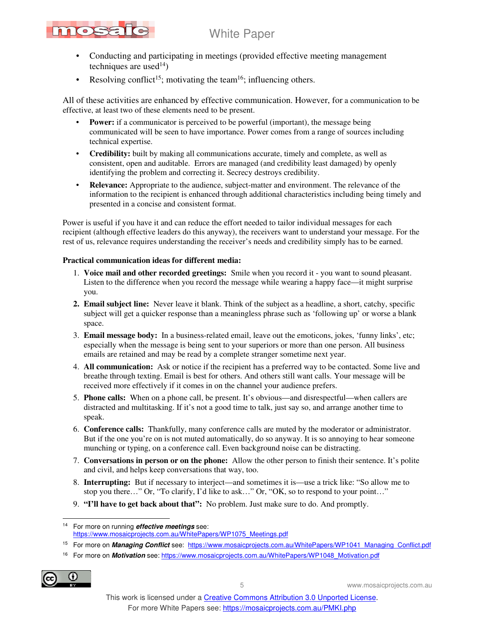

- Conducting and participating in meetings (provided effective meeting management techniques are used $^{14}$ )
- Resolving conflict<sup>15</sup>; motivating the team<sup>16</sup>; influencing others.

All of these activities are enhanced by effective communication. However, for a communication to be effective, at least two of these elements need to be present.

- **Power:** if a communicator is perceived to be powerful (important), the message being communicated will be seen to have importance. Power comes from a range of sources including technical expertise.
- **Credibility:** built by making all communications accurate, timely and complete, as well as consistent, open and auditable. Errors are managed (and credibility least damaged) by openly identifying the problem and correcting it. Secrecy destroys credibility.
- **Relevance:** Appropriate to the audience, subject-matter and environment. The relevance of the information to the recipient is enhanced through additional characteristics including being timely and presented in a concise and consistent format.

Power is useful if you have it and can reduce the effort needed to tailor individual messages for each recipient (although effective leaders do this anyway), the receivers want to understand your message. For the rest of us, relevance requires understanding the receiver's needs and credibility simply has to be earned.

#### **Practical communication ideas for different media:**

- 1. **Voice mail and other recorded greetings:** Smile when you record it you want to sound pleasant. Listen to the difference when you record the message while wearing a happy face—it might surprise you.
- **2. Email subject line:** Never leave it blank. Think of the subject as a headline, a short, catchy, specific subject will get a quicker response than a meaningless phrase such as 'following up' or worse a blank space.
- 3. **Email message body:** In a business-related email, leave out the emoticons, jokes, 'funny links', etc; especially when the message is being sent to your superiors or more than one person. All business emails are retained and may be read by a complete stranger sometime next year.
- 4. **All communication:** Ask or notice if the recipient has a preferred way to be contacted. Some live and breathe through texting. Email is best for others. And others still want calls. Your message will be received more effectively if it comes in on the channel your audience prefers.
- 5. **Phone calls:** When on a phone call, be present. It's obvious—and disrespectful—when callers are distracted and multitasking. If it's not a good time to talk, just say so, and arrange another time to speak.
- 6. **Conference calls:** Thankfully, many conference calls are muted by the moderator or administrator. But if the one you're on is not muted automatically, do so anyway. It is so annoying to hear someone munching or typing, on a conference call. Even background noise can be distracting.
- 7. **Conversations in person or on the phone:** Allow the other person to finish their sentence. It's polite and civil, and helps keep conversations that way, too.
- 8. **Interrupting:** But if necessary to interject—and sometimes it is—use a trick like: "So allow me to stop you there…" Or, "To clarify, I'd like to ask…" Or, "OK, so to respond to your point…"
- 9. **"I'll have to get back about that":** No problem. Just make sure to do. And promptly.

16 For more on **Motivation** see: https://www.mosaicprojects.com.au/WhitePapers/WP1048\_Motivation.pdf



 $\ddot{\phantom{a}}$ <sup>14</sup> For more on running **effective meetings** see: https://www.mosaicprojects.com.au/WhitePapers/WP1075\_Meetings.pdf

<sup>&</sup>lt;sup>15</sup> For more on *Managing Conflict* see: https://www.mosaicprojects.com.au/WhitePapers/WP1041\_Managing\_Conflict.pdf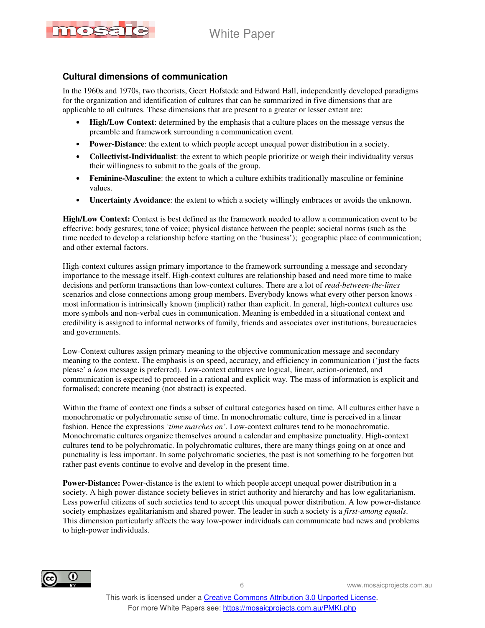

### **Cultural dimensions of communication**

In the 1960s and 1970s, two theorists, Geert Hofstede and Edward Hall, independently developed paradigms for the organization and identification of cultures that can be summarized in five dimensions that are applicable to all cultures. These dimensions that are present to a greater or lesser extent are:

- **High/Low Context**: determined by the emphasis that a culture places on the message versus the preamble and framework surrounding a communication event.
- **Power-Distance**: the extent to which people accept unequal power distribution in a society.
- **Collectivist-Individualist**: the extent to which people prioritize or weigh their individuality versus their willingness to submit to the goals of the group.
- **Feminine-Masculine**: the extent to which a culture exhibits traditionally masculine or feminine values.
- **Uncertainty Avoidance**: the extent to which a society willingly embraces or avoids the unknown.

**High/Low Context:** Context is best defined as the framework needed to allow a communication event to be effective: body gestures; tone of voice; physical distance between the people; societal norms (such as the time needed to develop a relationship before starting on the 'business'); geographic place of communication; and other external factors.

High-context cultures assign primary importance to the framework surrounding a message and secondary importance to the message itself. High-context cultures are relationship based and need more time to make decisions and perform transactions than low-context cultures. There are a lot of *read-between-the-lines* scenarios and close connections among group members. Everybody knows what every other person knows most information is intrinsically known (implicit) rather than explicit. In general, high-context cultures use more symbols and non-verbal cues in communication. Meaning is embedded in a situational context and credibility is assigned to informal networks of family, friends and associates over institutions, bureaucracies and governments.

Low-Context cultures assign primary meaning to the objective communication message and secondary meaning to the context. The emphasis is on speed, accuracy, and efficiency in communication ('just the facts please' a *lean* message is preferred). Low-context cultures are logical, linear, action-oriented, and communication is expected to proceed in a rational and explicit way. The mass of information is explicit and formalised; concrete meaning (not abstract) is expected.

Within the frame of context one finds a subset of cultural categories based on time. All cultures either have a monochromatic or polychromatic sense of time. In monochromatic culture, time is perceived in a linear fashion. Hence the expressions *'time marches on'*. Low-context cultures tend to be monochromatic. Monochromatic cultures organize themselves around a calendar and emphasize punctuality. High-context cultures tend to be polychromatic. In polychromatic cultures, there are many things going on at once and punctuality is less important. In some polychromatic societies, the past is not something to be forgotten but rather past events continue to evolve and develop in the present time.

**Power-Distance:** Power-distance is the extent to which people accept unequal power distribution in a society. A high power-distance society believes in strict authority and hierarchy and has low egalitarianism. Less powerful citizens of such societies tend to accept this unequal power distribution. A low power-distance society emphasizes egalitarianism and shared power. The leader in such a society is a *first-among equals*. This dimension particularly affects the way low-power individuals can communicate bad news and problems to high-power individuals.

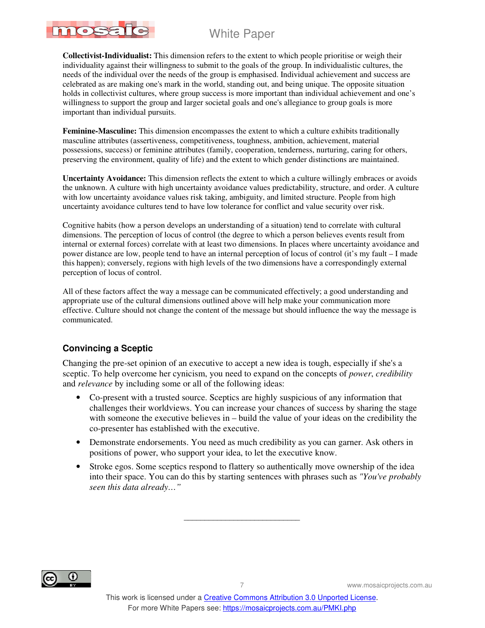**Collectivist-Individualist:** This dimension refers to the extent to which people prioritise or weigh their individuality against their willingness to submit to the goals of the group. In individualistic cultures, the needs of the individual over the needs of the group is emphasised. Individual achievement and success are celebrated as are making one's mark in the world, standing out, and being unique. The opposite situation holds in collectivist cultures, where group success is more important than individual achievement and one's willingness to support the group and larger societal goals and one's allegiance to group goals is more important than individual pursuits.

**Feminine-Masculine:** This dimension encompasses the extent to which a culture exhibits traditionally masculine attributes (assertiveness, competitiveness, toughness, ambition, achievement, material possessions, success) or feminine attributes (family, cooperation, tenderness, nurturing, caring for others, preserving the environment, quality of life) and the extent to which gender distinctions are maintained.

**Uncertainty Avoidance:** This dimension reflects the extent to which a culture willingly embraces or avoids the unknown. A culture with high uncertainty avoidance values predictability, structure, and order. A culture with low uncertainty avoidance values risk taking, ambiguity, and limited structure. People from high uncertainty avoidance cultures tend to have low tolerance for conflict and value security over risk.

Cognitive habits (how a person develops an understanding of a situation) tend to correlate with cultural dimensions. The perception of locus of control (the degree to which a person believes events result from internal or external forces) correlate with at least two dimensions. In places where uncertainty avoidance and power distance are low, people tend to have an internal perception of locus of control (it's my fault – I made this happen); conversely, regions with high levels of the two dimensions have a correspondingly external perception of locus of control.

All of these factors affect the way a message can be communicated effectively; a good understanding and appropriate use of the cultural dimensions outlined above will help make your communication more effective. Culture should not change the content of the message but should influence the way the message is communicated.

## **Convincing a Sceptic**

mosa

Changing the pre-set opinion of an executive to accept a new idea is tough, especially if she's a sceptic. To help overcome her cynicism, you need to expand on the concepts of *power*, *credibility* and *relevance* by including some or all of the following ideas:

- Co-present with a trusted source. Sceptics are highly suspicious of any information that challenges their worldviews. You can increase your chances of success by sharing the stage with someone the executive believes in – build the value of your ideas on the credibility the co-presenter has established with the executive.
- Demonstrate endorsements. You need as much credibility as you can garner. Ask others in positions of power, who support your idea, to let the executive know.
- Stroke egos. Some sceptics respond to flattery so authentically move ownership of the idea into their space. You can do this by starting sentences with phrases such as *"You've probably seen this data already…"*



\_\_\_\_\_\_\_\_\_\_\_\_\_\_\_\_\_\_\_\_\_\_\_\_\_\_\_\_